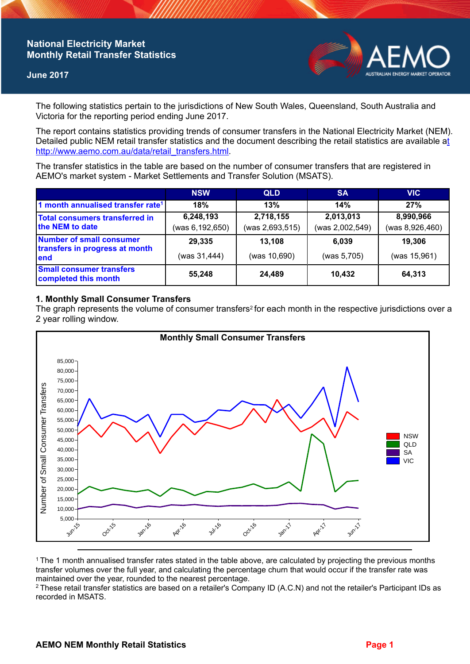# **National Electricity Market Monthly Retail Transfer Statistics**

#### **June 2017**



The following statistics pertain to the jurisdictions of New South Wales, Queensland, South Australia and Victoria for the reporting period ending June 2017.

The report contains statistics providing trends of consumer transfers in the National Electricity Market (NEM). Detailed public NEM retail transfer statistics and the document describing the retail statistics are available a[t](http://www.aemo.com.au/data/retail_transfers.html)  http://www.aemo.com.au/data/retail\_transfers.html

The transfer statistics in the table are based on the number of consumer transfers that are registered in AEMO's market system - Market Settlements and Transfer Solution (MSATS).

|                                                                    | <b>NSW</b>                   | <b>QLD</b>                   | <b>SA</b>                    | <b>VIC</b>                   |
|--------------------------------------------------------------------|------------------------------|------------------------------|------------------------------|------------------------------|
| 1 month annualised transfer rate <sup>1</sup>                      | 18%                          | 13%                          | 14%                          | 27%                          |
| Total consumers transferred in<br>the NEM to date                  | 6,248,193<br>(was 6,192,650) | 2,718,155<br>(was 2,693,515) | 2,013,013<br>(was 2,002,549) | 8,990,966<br>(was 8,926,460) |
| Number of small consumer<br>transfers in progress at month<br>lend | 29,335<br>(was 31,444)       | 13,108<br>(was 10,690)       | 6.039<br>(was 5,705)         | 19,306<br>(was 15,961)       |
| <b>Small consumer transfers</b><br>completed this month            | 55,248                       | 24,489                       | 10.432                       | 64,313                       |

## **1. Monthly Small Consumer Transfers**

The graph represents the volume of consumer transfers<sup>2</sup> for each month in the respective jurisdictions over a 2 year rolling window.



<sup>1</sup>The 1 month annualised transfer rates stated in the table above, are calculated by projecting the previous months transfer volumes over the full year, and calculating the percentage churn that would occur if the transfer rate was maintained over the year, rounded to the nearest percentage.

<sup>2</sup> These retail transfer statistics are based on a retailer's Company ID (A.C.N) and not the retailer's Participant IDs as recorded in MSATS.